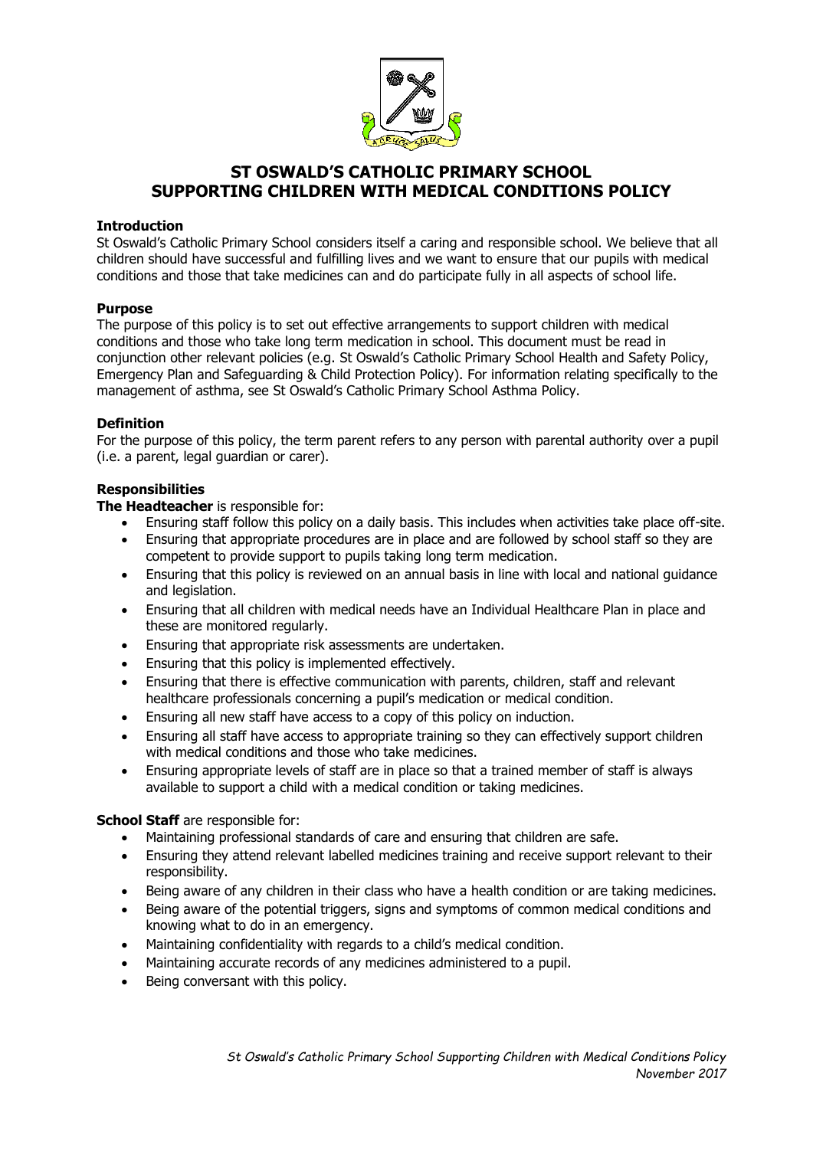

# **ST OSWALD'S CATHOLIC PRIMARY SCHOOL SUPPORTING CHILDREN WITH MEDICAL CONDITIONS POLICY**

# **Introduction**

St Oswald's Catholic Primary School considers itself a caring and responsible school. We believe that all children should have successful and fulfilling lives and we want to ensure that our pupils with medical conditions and those that take medicines can and do participate fully in all aspects of school life.

# **Purpose**

The purpose of this policy is to set out effective arrangements to support children with medical conditions and those who take long term medication in school. This document must be read in conjunction other relevant policies (e.g. St Oswald's Catholic Primary School Health and Safety Policy, Emergency Plan and Safeguarding & Child Protection Policy). For information relating specifically to the management of asthma, see St Oswald's Catholic Primary School Asthma Policy.

# **Definition**

For the purpose of this policy, the term parent refers to any person with parental authority over a pupil (i.e. a parent, legal guardian or carer).

# **Responsibilities**

**The Headteacher** is responsible for:

- Ensuring staff follow this policy on a daily basis. This includes when activities take place off-site.
- Ensuring that appropriate procedures are in place and are followed by school staff so they are competent to provide support to pupils taking long term medication.
- Ensuring that this policy is reviewed on an annual basis in line with local and national guidance and legislation.
- Ensuring that all children with medical needs have an Individual Healthcare Plan in place and these are monitored regularly.
- Ensuring that appropriate risk assessments are undertaken.
- Ensuring that this policy is implemented effectively.
- Ensuring that there is effective communication with parents, children, staff and relevant healthcare professionals concerning a pupil's medication or medical condition.
- Ensuring all new staff have access to a copy of this policy on induction.
- Ensuring all staff have access to appropriate training so they can effectively support children with medical conditions and those who take medicines.
- Ensuring appropriate levels of staff are in place so that a trained member of staff is always available to support a child with a medical condition or taking medicines.

# **School Staff** are responsible for:

- Maintaining professional standards of care and ensuring that children are safe.
- Ensuring they attend relevant labelled medicines training and receive support relevant to their responsibility.
- Being aware of any children in their class who have a health condition or are taking medicines.
- Being aware of the potential triggers, signs and symptoms of common medical conditions and knowing what to do in an emergency.
- Maintaining confidentiality with regards to a child's medical condition.
- Maintaining accurate records of any medicines administered to a pupil.
- Being conversant with this policy.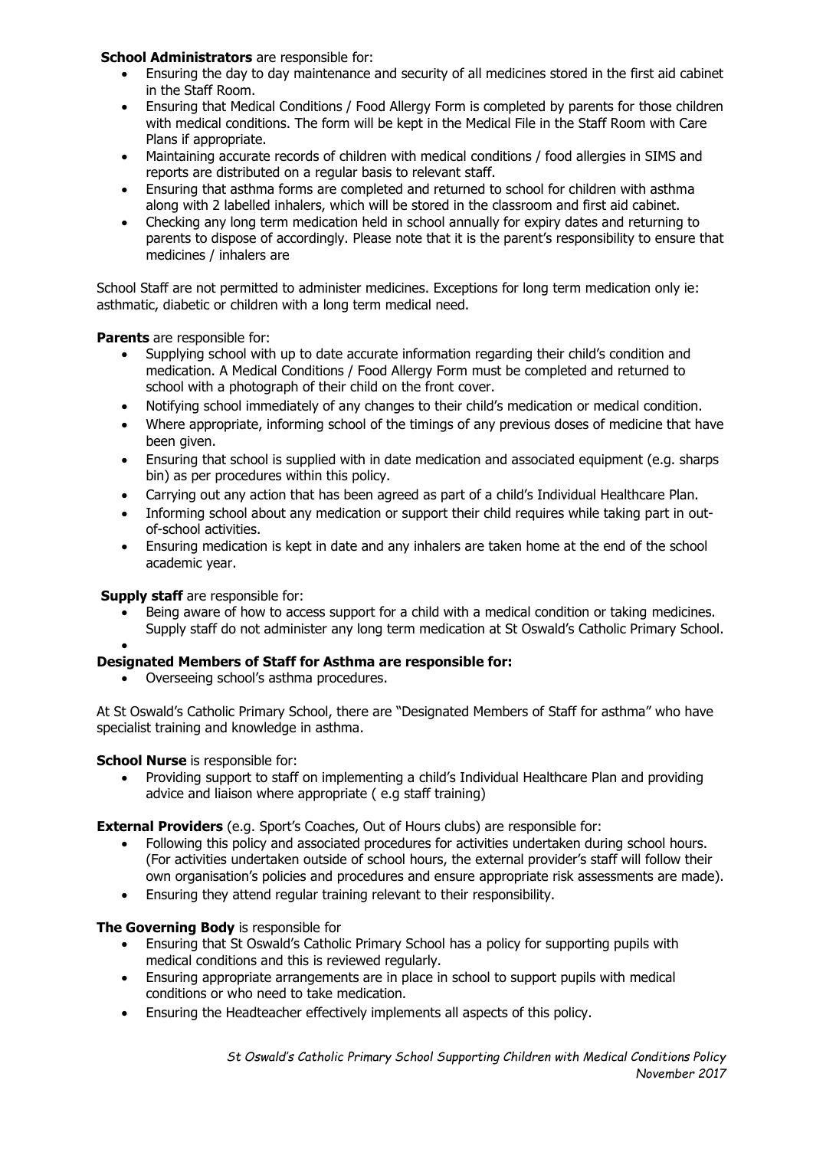# **School Administrators** are responsible for:

- Ensuring the day to day maintenance and security of all medicines stored in the first aid cabinet in the Staff Room.
- Ensuring that Medical Conditions / Food Allergy Form is completed by parents for those children with medical conditions. The form will be kept in the Medical File in the Staff Room with Care Plans if appropriate.
- Maintaining accurate records of children with medical conditions / food allergies in SIMS and reports are distributed on a regular basis to relevant staff.
- Ensuring that asthma forms are completed and returned to school for children with asthma along with 2 labelled inhalers, which will be stored in the classroom and first aid cabinet.
- Checking any long term medication held in school annually for expiry dates and returning to parents to dispose of accordingly. Please note that it is the parent's responsibility to ensure that medicines / inhalers are

School Staff are not permitted to administer medicines. Exceptions for long term medication only ie: asthmatic, diabetic or children with a long term medical need.

**Parents** are responsible for:

- Supplying school with up to date accurate information regarding their child's condition and medication. A Medical Conditions / Food Allergy Form must be completed and returned to school with a photograph of their child on the front cover.
- Notifying school immediately of any changes to their child's medication or medical condition.
- Where appropriate, informing school of the timings of any previous doses of medicine that have been given.
- Ensuring that school is supplied with in date medication and associated equipment (e.g. sharps bin) as per procedures within this policy.
- Carrying out any action that has been agreed as part of a child's Individual Healthcare Plan.
- Informing school about any medication or support their child requires while taking part in outof-school activities.
- Ensuring medication is kept in date and any inhalers are taken home at the end of the school academic year.

# **Supply staff** are responsible for:

•

• Being aware of how to access support for a child with a medical condition or taking medicines. Supply staff do not administer any long term medication at St Oswald's Catholic Primary School.

# **Designated Members of Staff for Asthma are responsible for:**

• Overseeing school's asthma procedures.

At St Oswald's Catholic Primary School, there are "Designated Members of Staff for asthma" who have specialist training and knowledge in asthma.

**School Nurse** is responsible for:

• Providing support to staff on implementing a child's Individual Healthcare Plan and providing advice and liaison where appropriate ( e.g staff training)

**External Providers** (e.g. Sport's Coaches, Out of Hours clubs) are responsible for:

- Following this policy and associated procedures for activities undertaken during school hours. (For activities undertaken outside of school hours, the external provider's staff will follow their own organisation's policies and procedures and ensure appropriate risk assessments are made).
- Ensuring they attend regular training relevant to their responsibility.

# **The Governing Body** is responsible for

- Ensuring that St Oswald's Catholic Primary School has a policy for supporting pupils with medical conditions and this is reviewed regularly.
- Ensuring appropriate arrangements are in place in school to support pupils with medical conditions or who need to take medication.
- Ensuring the Headteacher effectively implements all aspects of this policy.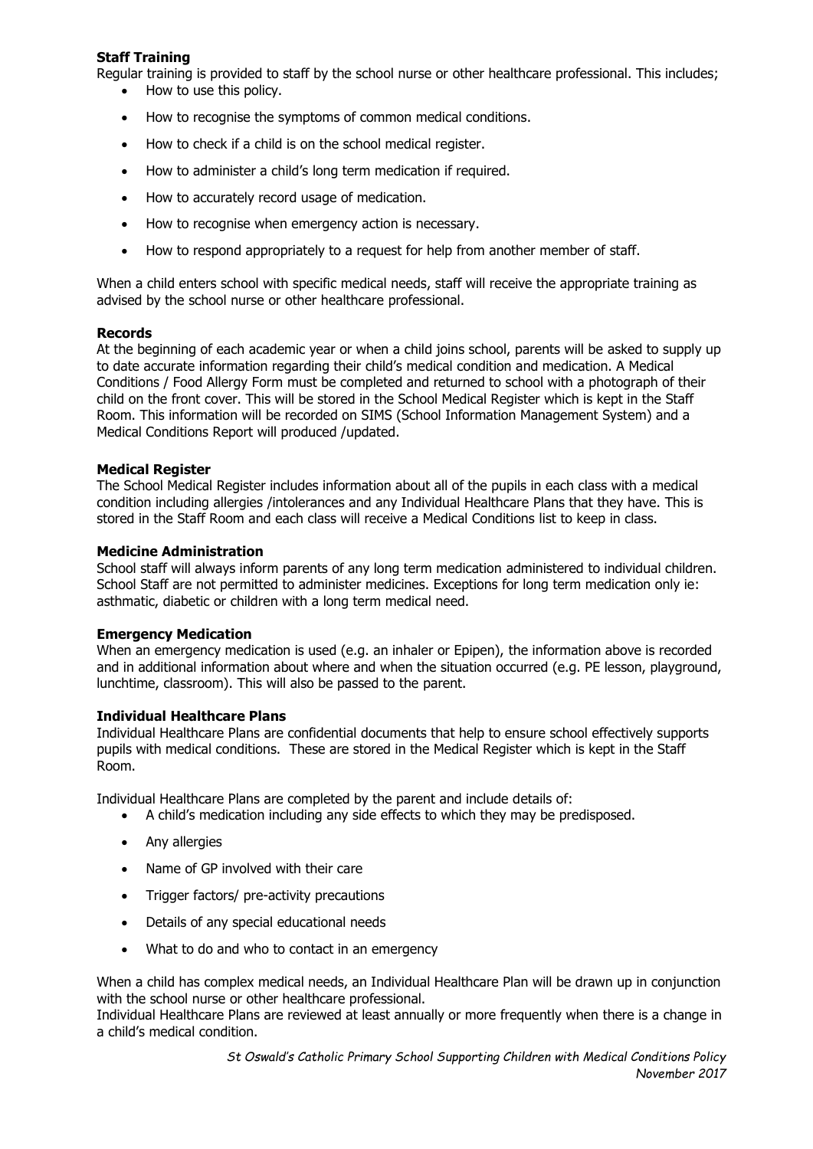# **Staff Training**

Regular training is provided to staff by the school nurse or other healthcare professional. This includes;

- How to use this policy.
- How to recognise the symptoms of common medical conditions.
- How to check if a child is on the school medical register.
- How to administer a child's long term medication if required.
- How to accurately record usage of medication.
- How to recognise when emergency action is necessary.
- How to respond appropriately to a request for help from another member of staff.

When a child enters school with specific medical needs, staff will receive the appropriate training as advised by the school nurse or other healthcare professional.

# **Records**

At the beginning of each academic year or when a child joins school, parents will be asked to supply up to date accurate information regarding their child's medical condition and medication. A Medical Conditions / Food Allergy Form must be completed and returned to school with a photograph of their child on the front cover. This will be stored in the School Medical Register which is kept in the Staff Room. This information will be recorded on SIMS (School Information Management System) and a Medical Conditions Report will produced /updated.

#### **Medical Register**

The School Medical Register includes information about all of the pupils in each class with a medical condition including allergies /intolerances and any Individual Healthcare Plans that they have. This is stored in the Staff Room and each class will receive a Medical Conditions list to keep in class.

#### **Medicine Administration**

School staff will always inform parents of any long term medication administered to individual children. School Staff are not permitted to administer medicines. Exceptions for long term medication only ie: asthmatic, diabetic or children with a long term medical need.

# **Emergency Medication**

When an emergency medication is used (e.g. an inhaler or Epipen), the information above is recorded and in additional information about where and when the situation occurred (e.g. PE lesson, playground, lunchtime, classroom). This will also be passed to the parent.

#### **Individual Healthcare Plans**

Individual Healthcare Plans are confidential documents that help to ensure school effectively supports pupils with medical conditions. These are stored in the Medical Register which is kept in the Staff Room.

Individual Healthcare Plans are completed by the parent and include details of:

- A child's medication including any side effects to which they may be predisposed.
- Any allergies
- Name of GP involved with their care
- Trigger factors/ pre-activity precautions
- Details of any special educational needs
- What to do and who to contact in an emergency

When a child has complex medical needs, an Individual Healthcare Plan will be drawn up in conjunction with the school nurse or other healthcare professional.

Individual Healthcare Plans are reviewed at least annually or more frequently when there is a change in a child's medical condition.